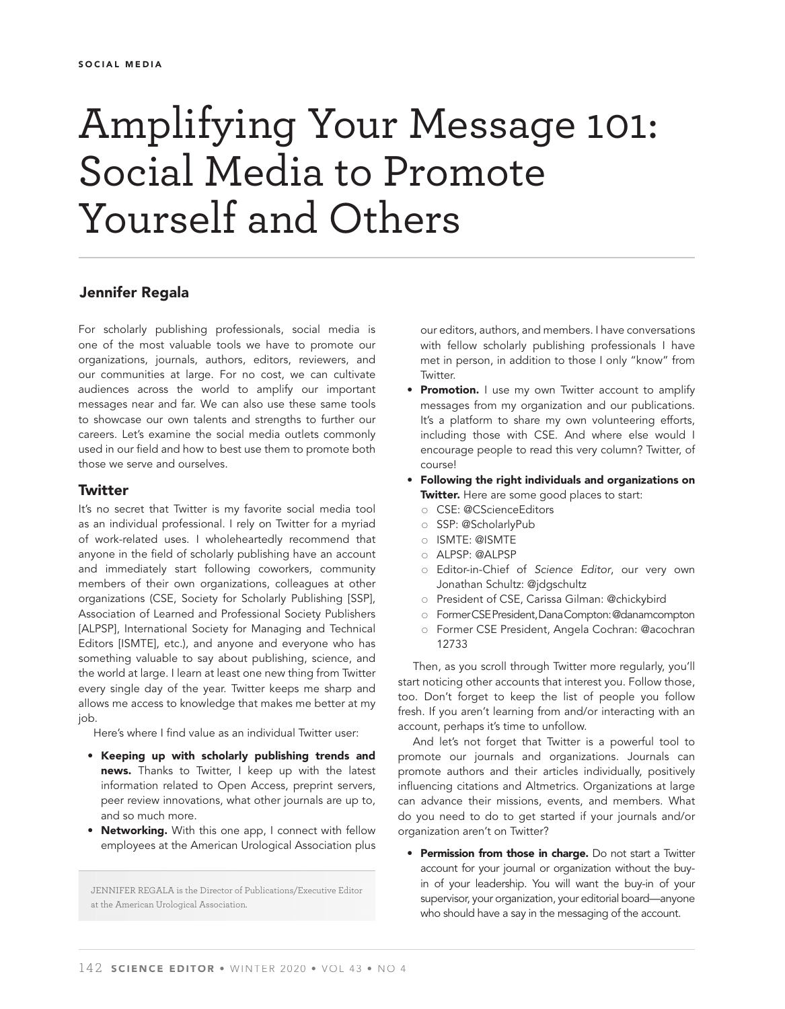# Amplifying Your Message 101: Social Media to Promote Yourself and Others

# Jennifer Regala

For scholarly publishing professionals, social media is one of the most valuable tools we have to promote our organizations, journals, authors, editors, reviewers, and our communities at large. For no cost, we can cultivate audiences across the world to amplify our important messages near and far. We can also use these same tools to showcase our own talents and strengths to further our careers. Let's examine the social media outlets commonly used in our field and how to best use them to promote both those we serve and ourselves.

### **Twitter**

It's no secret that Twitter is my favorite social media tool as an individual professional. I rely on Twitter for a myriad of work-related uses. I wholeheartedly recommend that anyone in the field of scholarly publishing have an account and immediately start following coworkers, community members of their own organizations, colleagues at other organizations (CSE, Society for Scholarly Publishing [SSP], Association of Learned and Professional Society Publishers [ALPSP], International Society for Managing and Technical Editors [ISMTE], etc.), and anyone and everyone who has something valuable to say about publishing, science, and the world at large. I learn at least one new thing from Twitter every single day of the year. Twitter keeps me sharp and allows me access to knowledge that makes me better at my job.

Here's where I find value as an individual Twitter user:

- Keeping up with scholarly publishing trends and news. Thanks to Twitter, I keep up with the latest information related to Open Access, preprint servers, peer review innovations, what other journals are up to, and so much more.
- Networking. With this one app, I connect with fellow employees at the American Urological Association plus

JENNIFER REGALA is the Director of Publications/Executive Editor at the American Urological Association.

our editors, authors, and members. I have conversations with fellow scholarly publishing professionals I have met in person, in addition to those I only "know" from Twitter.

- Promotion. I use my own Twitter account to amplify messages from my organization and our publications. It's a platform to share my own volunteering efforts, including those with CSE. And where else would I encourage people to read this very column? Twitter, of course!
- Following the right individuals and organizations on Twitter. Here are some good places to start:
	- CSE: @CScienceEditors
	- SSP: @ScholarlyPub
	- ISMTE: @ISMTE
	- ALPSP: @ALPSP
	- Editor-in-Chief of *Science Editor*, our very own Jonathan Schultz: @jdgschultz
	- President of CSE, Carissa Gilman: @chickybird
	- Former CSE President, Dana Compton: @danamcompton
	- Former CSE President, Angela Cochran: @acochran 12733

Then, as you scroll through Twitter more regularly, you'll start noticing other accounts that interest you. Follow those, too. Don't forget to keep the list of people you follow fresh. If you aren't learning from and/or interacting with an account, perhaps it's time to unfollow.

And let's not forget that Twitter is a powerful tool to promote our journals and organizations. Journals can promote authors and their articles individually, positively influencing citations and Altmetrics. Organizations at large can advance their missions, events, and members. What do you need to do to get started if your journals and/or organization aren't on Twitter?

**• Permission from those in charge.** Do not start a Twitter account for your journal or organization without the buyin of your leadership. You will want the buy-in of your supervisor, your organization, your editorial board—anyone who should have a say in the messaging of the account.